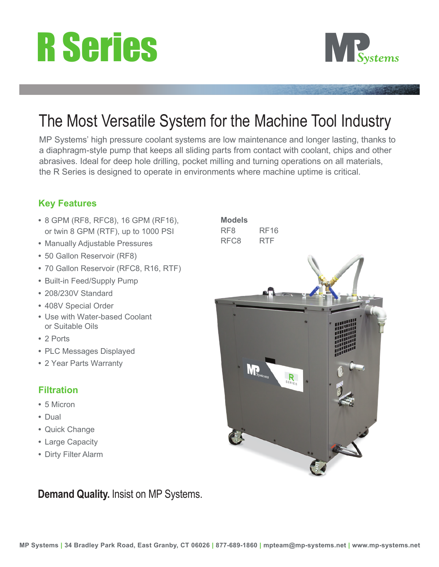# R Series



### The Most Versatile System for the Machine Tool Industry

MP Systems' high pressure coolant systems are low maintenance and longer lasting, thanks to a diaphragm-style pump that keeps all sliding parts from contact with coolant, chips and other abrasives. Ideal for deep hole drilling, pocket milling and turning operations on all materials, the R Series is designed to operate in environments where machine uptime is critical.

#### **Key Features**

- **•** 8 GPM (RF8, RFC8), 16 GPM (RF16), or twin 8 GPM (RTF), up to 1000 PSI
- **•** Manually Adjustable Pressures
- **•** 50 Gallon Reservoir (RF8)
- **•** 70 Gallon Reservoir (RFC8, R16, RTF)
- **•** Built-in Feed/Supply Pump
- **•** 208/230V Standard
- **•** 408V Special Order
- **•** Use with Water-based Coolant or Suitable Oils
- **•** 2 Ports
- **•** PLC Messages Displayed
- **•** 2 Year Parts Warranty

#### **Filtration**

- **•** 5 Micron
- **•** Dual
- **•** Quick Change
- **•** Large Capacity
- **•** Dirty Filter Alarm

**Demand Quality.** Insist on MP Systems.

**Models** RF8 RF16 RFC8 **RTF**  $\mathbb{R}$